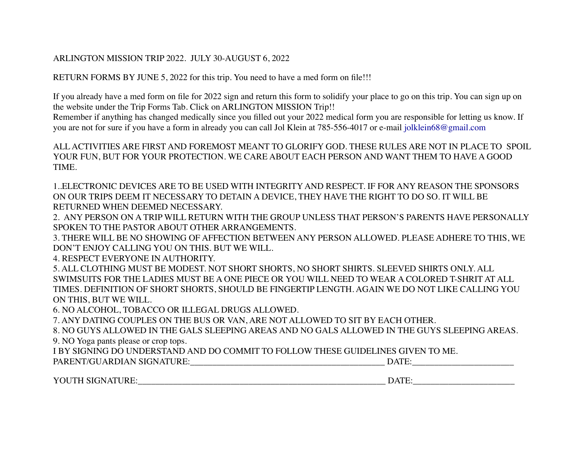### ARLINGTON MISSION TRIP 2022. JULY 30-AUGUST 6, 2022

RETURN FORMS BY JUNE 5, 2022 for this trip. You need to have a med form on file!!!

If you already have a med form on file for 2022 sign and return this form to solidify your place to go on this trip. You can sign up on the website under the Trip Forms Tab. Click on ARLINGTON MISSION Trip!!

Remember if anything has changed medically since you filled out your 2022 medical form you are responsible for letting us know. If you are not for sure if you have a form in already you can call Jol Klein at 785-556-4017 or e-mail jolklein68@gmail.com

ALL ACTIVITIES ARE FIRST AND FOREMOST MEANT TO GLORIFY GOD. THESE RULES ARE NOT IN PLACE TO SPOIL YOUR FUN, BUT FOR YOUR PROTECTION. WE CARE ABOUT EACH PERSON AND WANT THEM TO HAVE A GOOD TIME.

1..ELECTRONIC DEVICES ARE TO BE USED WITH INTEGRITY AND RESPECT. IF FOR ANY REASON THE SPONSORS ON OUR TRIPS DEEM IT NECESSARY TO DETAIN A DEVICE, THEY HAVE THE RIGHT TO DO SO. IT WILL BE RETURNED WHEN DEEMED NECESSARY.

2. ANY PERSON ON A TRIP WILL RETURN WITH THE GROUP UNLESS THAT PERSON'S PARENTS HAVE PERSONALLY SPOKEN TO THE PASTOR ABOUT OTHER ARRANGEMENTS.

3. THERE WILL BE NO SHOWING OF AFFECTION BETWEEN ANY PERSON ALLOWED. PLEASE ADHERE TO THIS, WE DON'T ENJOY CALLING YOU ON THIS. BUT WE WILL.

4. RESPECT EVERYONE IN AUTHORITY.

5. ALL CLOTHING MUST BE MODEST. NOT SHORT SHORTS, NO SHORT SHIRTS. SLEEVED SHIRTS ONLY. ALL SWIMSUITS FOR THE LADIES MUST BE A ONE PIECE OR YOU WILL NEED TO WEAR A COLORED T-SHRIT AT ALL TIMES. DEFINITION OF SHORT SHORTS, SHOULD BE FINGERTIP LENGTH. AGAIN WE DO NOT LIKE CALLING YOU ON THIS, BUT WE WILL.

6. NO ALCOHOL, TOBACCO OR ILLEGAL DRUGS ALLOWED.

7. ANY DATING COUPLES ON THE BUS OR VAN, ARE NOT ALLOWED TO SIT BY EACH OTHER.

8. NO GUYS ALLOWED IN THE GALS SLEEPING AREAS AND NO GALS ALLOWED IN THE GUYS SLEEPING AREAS. 9. NO Yoga pants please or crop tops.

I BY SIGNING DO UNDERSTAND AND DO COMMIT TO FOLLOW THESE GUIDELINES GIVEN TO ME.

| PARENT/GUARDIAN SIGNATURE: |  |
|----------------------------|--|
|----------------------------|--|

YOUTH SIGNATURE:\_\_\_\_\_\_\_\_\_\_\_\_\_\_\_\_\_\_\_\_\_\_\_\_\_\_\_\_\_\_\_\_\_\_\_\_\_\_\_\_\_\_\_\_\_\_\_\_\_\_\_\_\_\_\_\_ DATE:\_\_\_\_\_\_\_\_\_\_\_\_\_\_\_\_\_\_\_\_\_\_\_